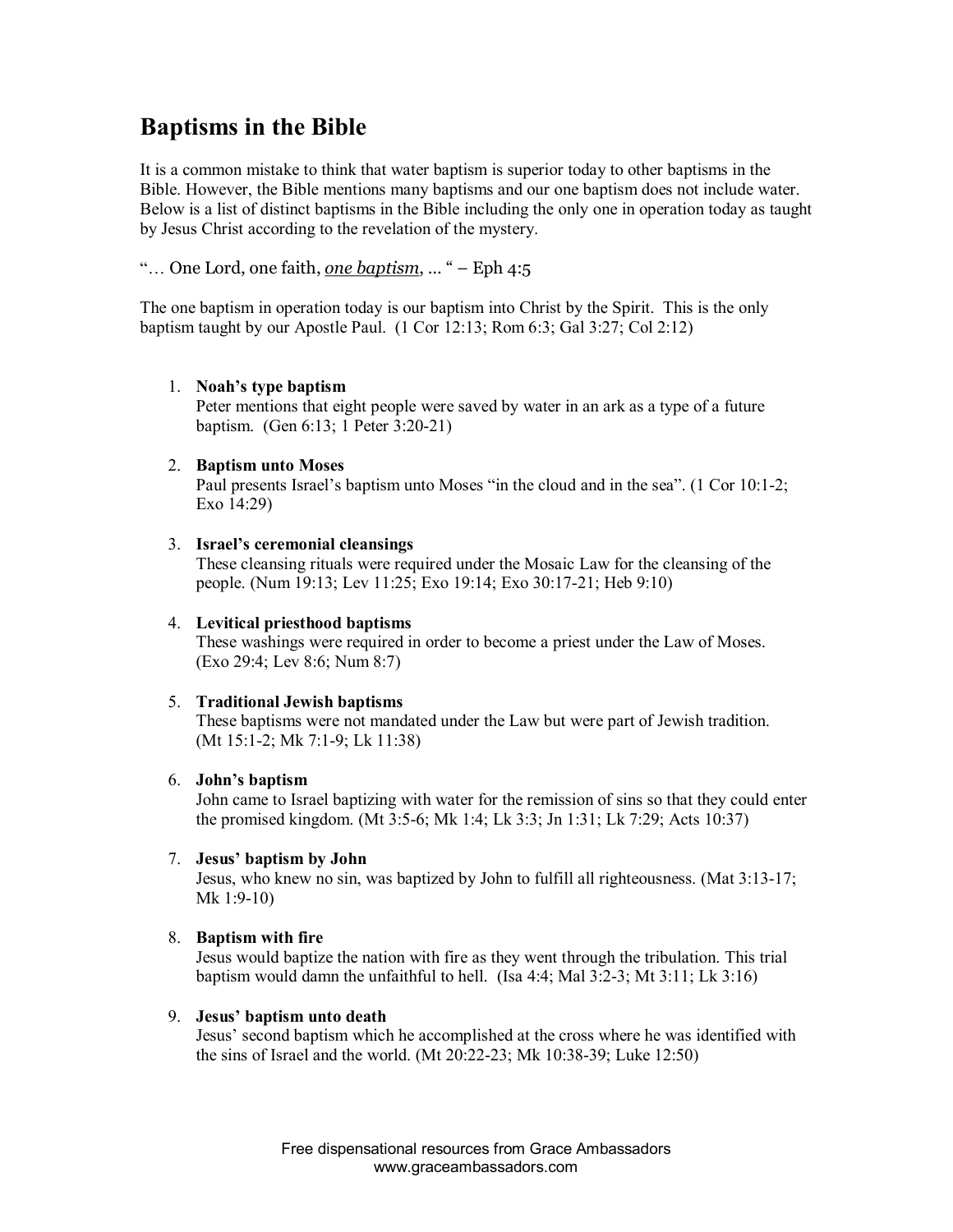# **Baptisms in the Bible**

It is a common mistake to think that water baptism is superior today to other baptisms in the Bible. However, the Bible mentions many baptisms and our one baptism does not include water. Below is a list of distinct baptisms in the Bible including the only one in operation today as taught by Jesus Christ according to the revelation of the mystery.

## "… One Lord, one faith, *one baptism*, … " – Eph 4:5

The one baptism in operation today is our baptism into Christ by the Spirit. This is the only baptism taught by our Apostle Paul. (1 Cor 12:13; Rom 6:3; Gal 3:27; Col 2:12)

## 1. **Noah's type baptism**

Peter mentions that eight people were saved by water in an ark as a type of a future baptism. (Gen 6:13; 1 Peter 3:20-21)

### 2. **Baptism unto Moses**

Paul presents Israel's baptism unto Moses "in the cloud and in the sea". (1 Cor 10:1-2; Exo 14:29)

### 3. **Israel's ceremonial cleansings**

These cleansing rituals were required under the Mosaic Law for the cleansing of the people. (Num 19:13; Lev 11:25; Exo 19:14; Exo 30:1721; Heb 9:10)

## 4. **Levitical priesthood baptisms**

These washings were required in order to become a priest under the Law of Moses. (Exo 29:4; Lev 8:6; Num 8:7)

## 5. **Traditional Jewish baptisms**

These baptisms were not mandated under the Law but were part of Jewish tradition. (Mt 15:1-2; Mk 7:1-9; Lk 11:38)

#### 6. **John's baptism**

John came to Israel baptizing with water for the remission of sins so that they could enter the promised kingdom. (Mt 3:56; Mk 1:4; Lk 3:3; Jn 1:31; Lk 7:29; Acts 10:37)

#### 7. **Jesus' baptism by John**

Jesus, who knew no sin, was baptized by John to fulfill all righteousness. (Mat 3:13-17; Mk  $1:9-10$ )

## 8. **Baptism with fire**

Jesus would baptize the nation with fire as they went through the tribulation. This trial baptism would damn the unfaithful to hell. (Isa  $4:4$ ; Mal  $3:2-3$ ; Mt  $3:11$ ; Lk  $3:16$ )

#### 9. **Jesus' baptism unto death**

Jesus' second baptism which he accomplished at the cross where he was identified with the sins of Israel and the world. (Mt  $20:22-23$ ; Mk  $10:38-39$ ; Luke  $12:50$ )